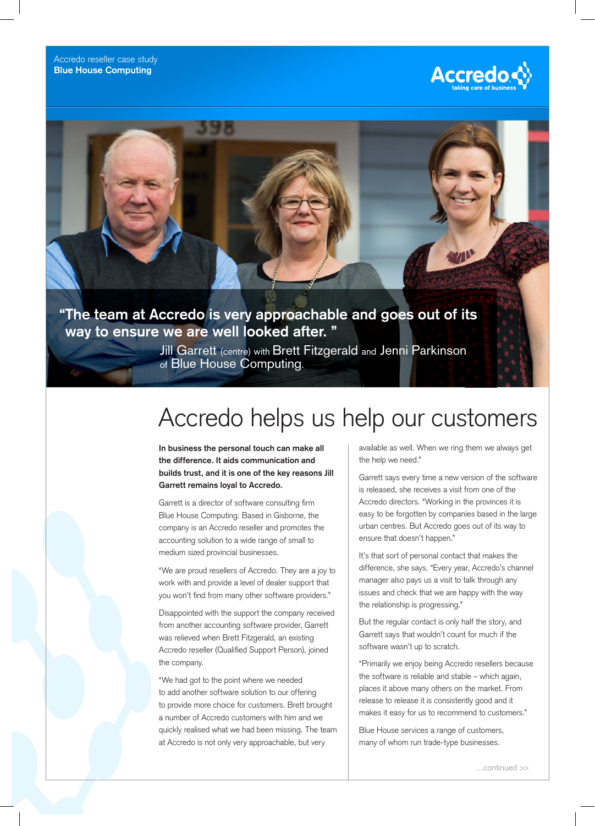



## **"The team at Accredo is very approachable and goes out of its way to ensure we are well looked after. "**

Jill Garrett (centre) with Brett Fitzgerald and Jenni Parkinson of Blue House Computing.

# Accredo helps us help our customers

**In business the personal touch can make all the difference. It aids communication and builds trust, and it is one of the key reasons Jill Garrett remains loyal to Accredo.**

Garrett is a director of software consulting firm Blue House Computing. Based in Gisborne, the company is an Accredo reseller and promotes the accounting solution to a wide range of small to medium sized provincial businesses.

"We are proud resellers of Accredo. They are a joy to work with and provide a level of dealer support that you won't find from many other software providers."

Disappointed with the support the company received from another accounting software provider, Garrett was relieved when Brett Fitzgerald, an existing Accredo reseller (Qualified Support Person), joined the company.

"We had got to the point where we needed to add another software solution to our offering to provide more choice for customers. Brett brought a number of Accredo customers with him and we quickly realised what we had been missing. The team at Accredo is not only very approachable, but very

available as well. When we ring them we always get the help we need."

Garrett says every time a new version of the software is released, she receives a visit from one of the Accredo directors. "Working in the provinces it is easy to be forgotten by companies based in the large urban centres. But Accredo goes out of its way to ensure that doesn't happen."

It's that sort of personal contact that makes the difference, she says. "Every year, Accredo's channel manager also pays us a visit to talk through any issues and check that we are happy with the way the relationship is progressing."

But the regular contact is only half the story, and Garrett says that wouldn't count for much if the software wasn't up to scratch.

"Primarily we enjoy being Accredo resellers because the software is reliable and stable – which again, places it above many others on the market. From release to release it is consistently good and it makes it easy for us to recommend to customers."

Blue House services a range of customers, many of whom run trade-type businesses.